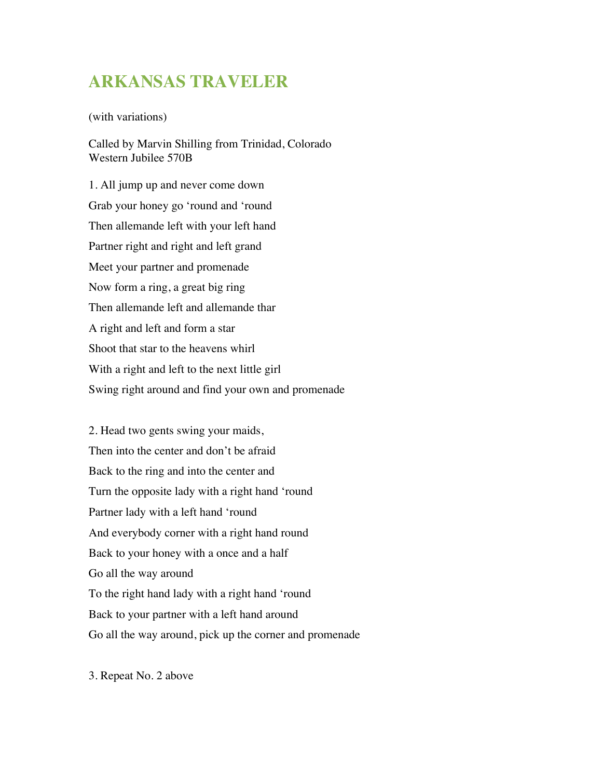## **ARKANSAS TRAVELER**

(with variations)

Called by Marvin Shilling from Trinidad, Colorado Western Jubilee 570B

1. All jump up and never come down Grab your honey go 'round and 'round Then allemande left with your left hand Partner right and right and left grand Meet your partner and promenade Now form a ring, a great big ring Then allemande left and allemande thar A right and left and form a star Shoot that star to the heavens whirl With a right and left to the next little girl Swing right around and find your own and promenade

2. Head two gents swing your maids, Then into the center and don't be afraid Back to the ring and into the center and Turn the opposite lady with a right hand 'round Partner lady with a left hand 'round And everybody corner with a right hand round Back to your honey with a once and a half Go all the way around To the right hand lady with a right hand 'round Back to your partner with a left hand around Go all the way around, pick up the corner and promenade

3. Repeat No. 2 above